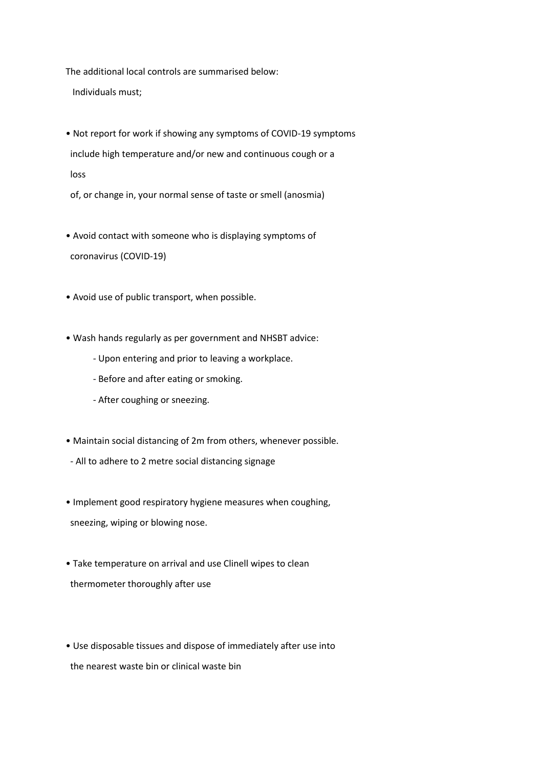The additional local controls are summarised below:

Individuals must;

- Not report for work if showing any symptoms of COVID-19 symptoms include high temperature and/or new and continuous cough or a loss
- of, or change in, your normal sense of taste or smell (anosmia)
- Avoid contact with someone who is displaying symptoms of coronavirus (COVID-19)
- Avoid use of public transport, when possible.
- Wash hands regularly as per government and NHSBT advice:
	- Upon entering and prior to leaving a workplace.
	- Before and after eating or smoking.
	- After coughing or sneezing.
- Maintain social distancing of 2m from others, whenever possible.
- All to adhere to 2 metre social distancing signage
- Implement good respiratory hygiene measures when coughing, sneezing, wiping or blowing nose.
- Take temperature on arrival and use Clinell wipes to clean thermometer thoroughly after use

• Use disposable tissues and dispose of immediately after use into the nearest waste bin or clinical waste bin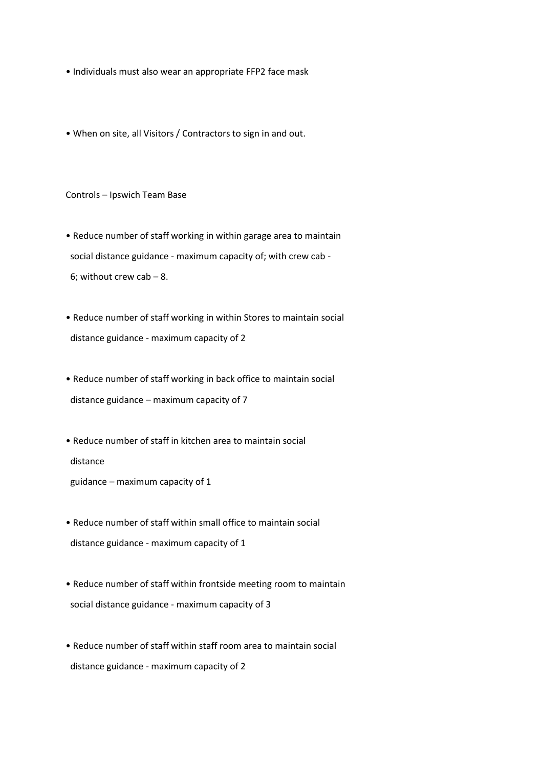- Individuals must also wear an appropriate FFP2 face mask
- When on site, all Visitors / Contractors to sign in and out.

Controls – Ipswich Team Base

• Reduce number of staff working in within garage area to maintain social distance guidance - maximum capacity of; with crew cab - 6; without crew cab – 8.

• Reduce number of staff working in within Stores to maintain social distance guidance - maximum capacity of 2

• Reduce number of staff working in back office to maintain social distance guidance – maximum capacity of 7

• Reduce number of staff in kitchen area to maintain social distance

guidance – maximum capacity of 1

• Reduce number of staff within small office to maintain social distance guidance - maximum capacity of 1

• Reduce number of staff within frontside meeting room to maintain social distance guidance - maximum capacity of 3

• Reduce number of staff within staff room area to maintain social distance guidance - maximum capacity of 2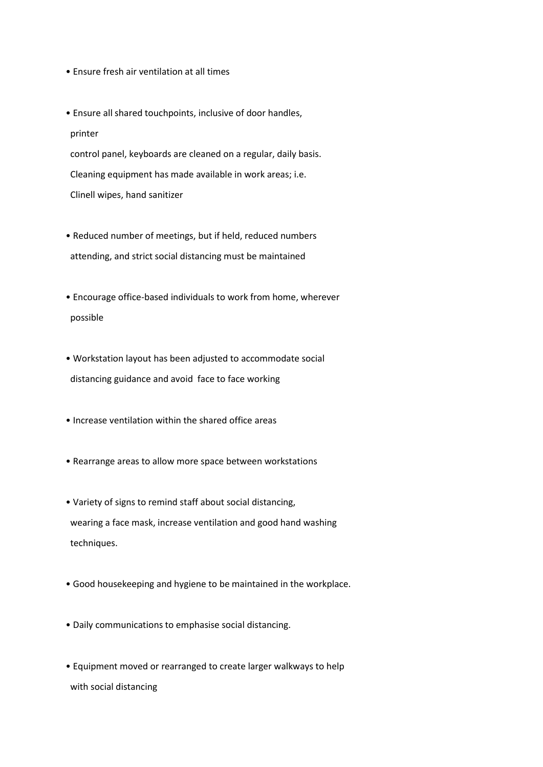- Ensure fresh air ventilation at all times
- Ensure all shared touchpoints, inclusive of door handles, printer control panel, keyboards are cleaned on a regular, daily basis. Cleaning equipment has made available in work areas; i.e. Clinell wipes, hand sanitizer
- Reduced number of meetings, but if held, reduced numbers attending, and strict social distancing must be maintained
- Encourage office-based individuals to work from home, wherever possible
- Workstation layout has been adjusted to accommodate social distancing guidance and avoid face to face working
- Increase ventilation within the shared office areas
- Rearrange areas to allow more space between workstations
- Variety of signs to remind staff about social distancing, wearing a face mask, increase ventilation and good hand washing techniques.
- Good housekeeping and hygiene to be maintained in the workplace.
- Daily communications to emphasise social distancing.
- Equipment moved or rearranged to create larger walkways to help with social distancing